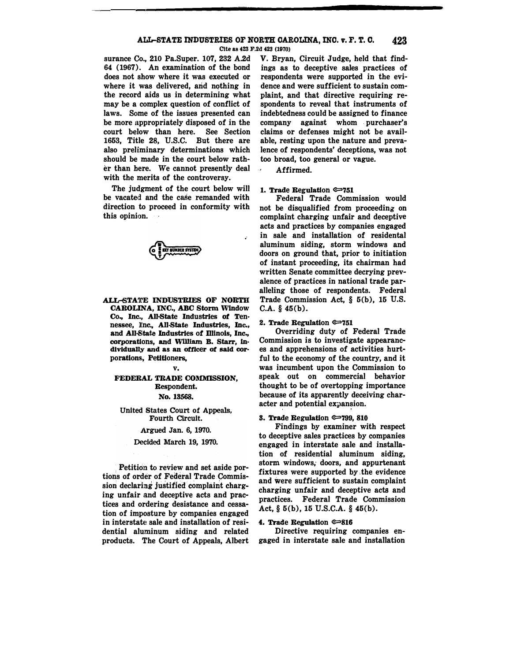## **ALL-STATE INDUSTRIES OF NORTH CAROLINA, INO. v. F. T. 0. 423**

**Cite as 423 F.2d 423 (1970)** 

**surance Co., 210 Pa.Super. 107, 232 A.2d 64 (1967). An examination of the bond does not show where it was executed or where it was delivered, and n�thing in the record aids us in determining what may be a complex question of conflict of laws. Some of the issues presented can be more appropriately disposed of in the**  court below than here. **1653, Title 28, U.S.C. But there are also preliminary determinations which should be made in the court below rather than here. We cannot presently deal with the merits of the controversy.** 

**The judgment of the court below will be vacated. and the case remanded with direction to proceed in conformity with this opinion.** 



**ALL-STATE INDUSTRIES OF NORTH CAROLINA, INC., ABC Storm Window Co., Inc., All-State Industries of Ten• nessee, ][nc., All-State Industries, Inc., and All-State Industries of Illinois, Inc., corporations, and Wllllam B. Starr, In• dividually and as an officer of said cor• porations, Petitioners,** 

#### **v.**

# FEDERAL TRADE COMMISSION, **Respondent. No. 18568.**

**United States Court of Appeals, Fourth Circuit.** 

### **Argued Jan. 6, 1970.**

### **Decided March 19, 1970.**

Petition to review and set aside por**tions of order of Federal Trade Commission declaring justified. complaint charging unfair and deceptive acts and practices and ordering desistance and cessation of imposture by companies engaged in interstate sale and installation of residential aluminum siding and related products. The Court of Appeals, Albert**  **V. Bryan, Circuit Judge, held that findings as to deceptive sales practices of respondents were supported in the evidence and were sufficient to sustain complaint, and that directive requiring respondents to reveal that instruments of indebtedness could be assigned to finance company against whom purchaser's claims or defenses might not be available, resting upon the nature and prevalence of respondents' deceptions, was not too broad, too general or vague.** 

**Affirmed.** 

## **1. Trade Regulation @751**

**Federal Trade Commission would not be disqualified from proceeding on complaint charging unfair and deceptive acts and practices by companies engaged in sale and installation of residental aluminum siding, storm windows and doors on ground that, prior to initiation of instant proceeding, its chairman had written Senate committee decrying prevalence of practices in national trade paralleling those of respondents. Federal Trade Commission Act, § 5(b), 15 U.S. C.A. § 45(b).** 

### **2. Trade Regulation @751**

**Overriding duty of Federal Trade Commission is to investigate appearances and apprehensions of activities hurtful to the economy of the country, and it was incumbent upon the Commission to speak out on commercial behavior thought to be of overtopping importance because of its apparently deceiving char**acter and potential expansion.

## **3. Trade Regulation @799, 810**

**Findings by examiner with respect to deceptive sales practices by companies engaged in interstate sale and installation of residential aluminum siding, storm windows, doors;· and appurtenant fixtures were supported by,the evidence and were sufficient to sustain complaint charging unfair and deceptive acts and practices. Federal Trade Commission Act, § 5(b), 15 U.S.C.A. § 45(b).** 

## **4. Trade Regulation ©816**

**Directive requiring companies engaged in interstate sale and installation**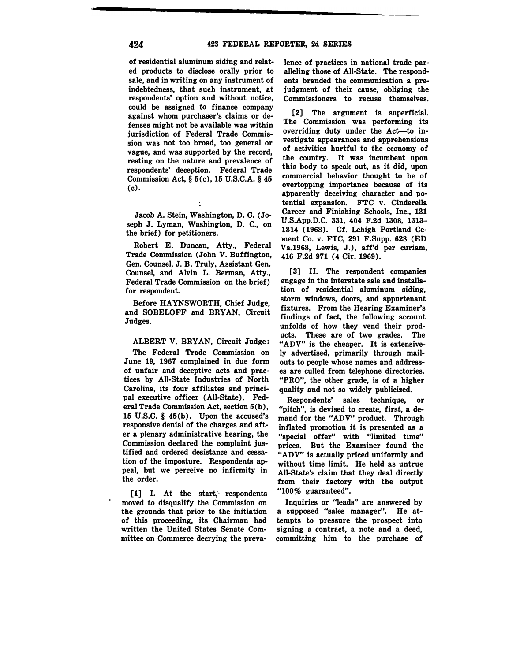**(c). of residential aluminum siding and related products to disclose orally prior to sale, and in writing on any instrument of indebtedness, that such instrument, at respondents' option and without notice, could be assigned to finance company against whom purchaser's claims or defenses might not be available was within jurisdiction of Federal Trade Commission was not too broad, too general or vague, and was supported by the record, resting on the nature and prevalence of respondents' deception. Federal Trade Commission Act,§ 5(c), 15 U.S.C.A. § 45** 

**Jacob A. Stein, Washington, D. C. (Joseph J. Lyman, Washington, D. C., on the brief) for petitioners.** 

**Robert E. Duncan, Atty., Federal Trade Commission (John V. Buffington, Gen. Counsel, J. B. Truly, Assistant Gen. Counsel, and Alvin L. Berman, Atty., Federal Trade Commission on the brief) for respondent.** 

**Before HAYNSWORTH, Chief Judge, and SOBELOFF and BRYAN, Circuit Judges.** 

**ALBERT V. BRYAN, Circuit Judge:** 

**The Federal Trade Commission on June 19, 1967 complained in due form of unfair and deceptive acts and practices by All-State Industries of North Carolina, its four affiliates and principal executive officer (All-State). Federal Trade Commission Act, section 5(b), 15 U.S.C. § 45(b). Upon the accused's responsive denial of the charges and after a plenary administrative hearing, the Commission declared the complaint justified and ordered desistance and cessation of the imposture. Respondents appeal, but we perceive no infirmity in the order.** 

**[1] I. At the start;'- respondents moved to disqualify the Commission on the grounds that prior to the initiation of this proceeding, its Chairman had written the United States Senate Committee on Commerce decrying the preva-**

lence of practices in national trade par**alleling those of All-State. The respondents branded the communication a prejudgment of their cause, obliging the Commissioners to recuse themselves.** 

**(2] The argument is superficial. The Commission was performing its overriding duty under the Act-to investigate appearances and apprehensions of activities hurtful to the economy of the country. It was incumbent upon this body to speak out, as it did, upon commercial behavior thought to be of overtopping importance because of its apparently deceiving character and potential expansion. FTC v. Cinderella Career and Finishing Schools, Inc., 131 U.S.App.D.C. 331, 404 F.2d 1308, 1313- 1314 (1968). Cf. Lehigh Portland Cement Co. v. FTC, 291 F.Supp. 628 (ED Va.1968, Lewis, J.), aff'd per curiam, 416 F.2d 971 (4 Cir. 1969).** 

**[3] II. The respondent companies engage in the interstate sale and installation of residential aluminum siding, storm windows, doors, and appurtenant fixtures. From the Hearing Examiner's findings of fact, the following account unfolds of how they vend their products. These are of two grades. The "ADV" is the cheaper. It is extensively advertised, primarily through mailouts to people whose names and addresses are culled from telephone directories. "PRO", the other grade, is of a higher quality and not so widely publicized.** 

**Respondents' sales technique, or "pitch", is devised to create, first, a demand for the "ADV'' product. Through inflated promotion it is presented as a "special offer" with "limited time" prices. But the Examiner found the "ADV" is actually priced uniformly and without time limit. He held as untrue All-State's claim that they deal directly from their factory with the output "100% guaranteed".** 

**Inquiries or "leads" are answered by a supposed "sales manager". He attempts to pressure the prospect into signing a contract, a note and a deed, committing him to the purchase of**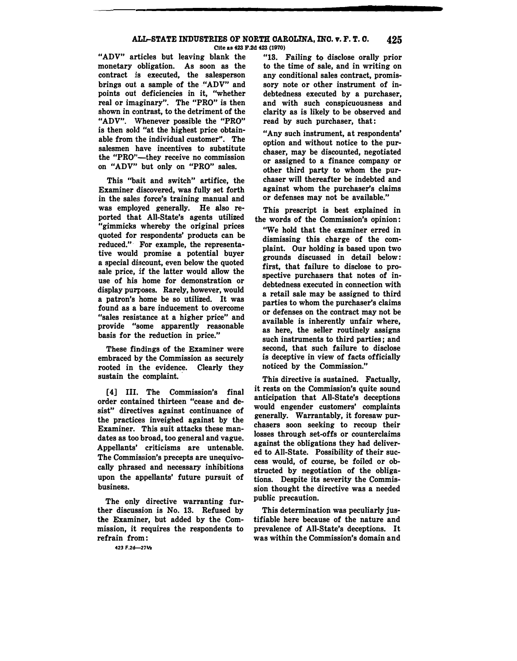# **ALL-STATE INDUSTRIES OF NORTH CAROLINA, INC. v. F. T. 0. 425**

Cite as 423 F.2d 423 (1970)

**"ADV" articles but leaving blank the monetary obligation. As soon as the contract is executed, the salesperson brings out a sample of the . "ADV" and points out deficiencies in it, "whether real or imaginary". The "PRO" is then shown in contrast, to the detriment of the "ADV". Whenever possible the "PRO" is then sold "at the highest price obtainable from the individual customer". The salesmen have incentives to substitute the "PRO"-they receive no commission on "ADV" but only on "PRO" sales.** 

**This "bait and switch" artifice, the Examiner discovered, was fully set forth**  in the sales force's training manual and **was employed generally. He also reported that All-State's agents utilized "gimmicks whereby the original prices quoted for respondents' products can be reduced."· For example, the representative would promise a potential buyer a special dfacount, even below the quoted sale price, if the latter would allow the use of his home for demonstration or display purposes. Rarely, however, would a patron's home be so utilized. It was found as a bare inducement to overcome "sales resistance at a higher price" and provide "some apparently reasonable basis for the reduction in price."** 

**These findings of the Examiner were embraced by the Commission as securely rooted in the evidence. Clearly they**  sustain the complaint.

**[4] III. The Commission's final order contained thirteen "cease and desist" directives against continuance of the practices inveighed against by the Examiner. This suit attacks these mandates as too broad, too general and vague. Appellants' criticisms are untenable. The Commisaion's precepts are unequivocally phrased and necessary inhibitions upon the appellants' future pursuit of business.** 

**The only directive warranting further discussfon is No. 13. Refused by the Examiner, but added by the Commission, it requires the respondents to refrain from : 423 F.2d-27½** 

**"18. Failing** to **disclose orally prior to the time. of sale, and in writing on any conditional sales contract, promissory note or other instrument of indebtedness executed by a purchaser, and with such conspicuousness and clarity as is likely to be observed and read by such purchaser, that:** 

**"Any such instrument, at respondents' option and without notice to the purchaser, may be discounted, negotiated or assigned to a finance company or other third party to whom the purchaser will thereafter be indebted and against whom the purchaser's claims or defenses may not be available."** 

**This prescript is best explained in the words of the Commission's opinion: "We hold that the examiner erred in dismissing this charge of the complaint. Our holding is based upon two grounds discussed in detail below: first, that failure to disclose to prospective purchasers that notes of indebtedness executed in connection with a retail sale may be assigned to third parties to whom the purchaser's claims or defenses on the contract may not be available is inherently unfair where, as here, the seller routinely assigns such instruments to third parties ; and second, that such failure to disclose is deceptive in view of facts officially noticed by the Commission."** 

**This directive is sustained. Factually, it rests on the Commission's quite sound anticipation that All-State's deceptions would engender customers' complaints generally. Warrantably, it foresaw purchasers soon seeking to recoup their losses through set-offs or counterclaims against the obligations they had delivered to AU-State. Possibility of their success would, of course, be foiled or obstructed by negotiation of the obligations. Despite its severity the Commission thought the directive was a needed public precaution.** 

**This determination was peculiarly justifiable here because of the nature and prevalence of All-State's deceptions. It was within the Commission's domain and**